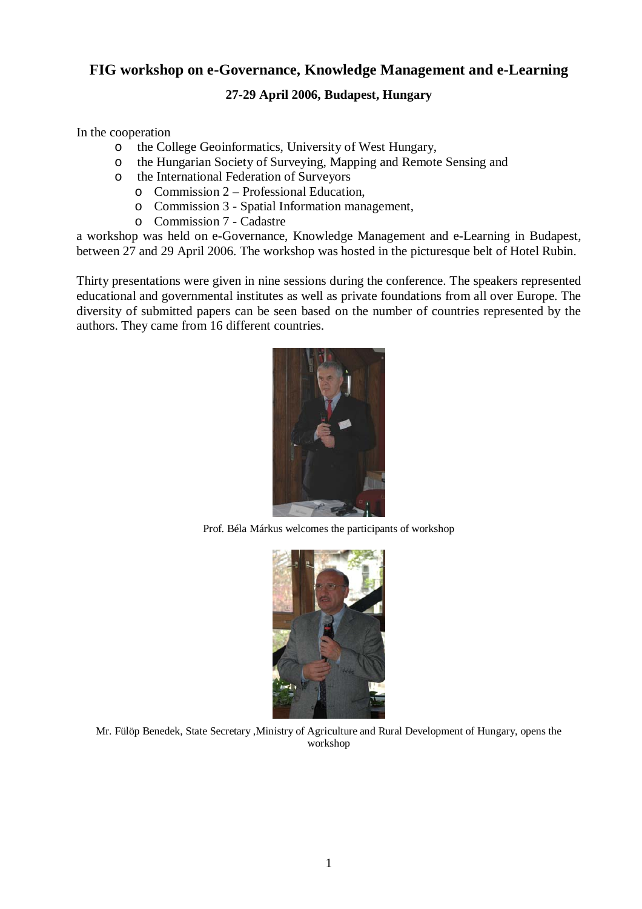## **FIG workshop on e-Governance, Knowledge Management and e-Learning**

## **27-29 April 2006, Budapest, Hungary**

In the cooperation

- o the College Geoinformatics, University of West Hungary,
- o the Hungarian Society of Surveying, Mapping and Remote Sensing and
- o the International Federation of Surveyors
	- o Commission 2 Professional Education,
	- o Commission 3 Spatial Information management,
	- o Commission 7 Cadastre

a workshop was held on e-Governance, Knowledge Management and e-Learning in Budapest, between 27 and 29 April 2006. The workshop was hosted in the picturesque belt of Hotel Rubin.

Thirty presentations were given in nine sessions during the conference. The speakers represented educational and governmental institutes as well as private foundations from all over Europe. The diversity of submitted papers can be seen based on the number of countries represented by the authors. They came from 16 different countries.



Prof. Béla Márkus welcomes the participants of workshop



Mr. Fülöp Benedek, State Secretary ,Ministry of Agriculture and Rural Development of Hungary, opens the workshop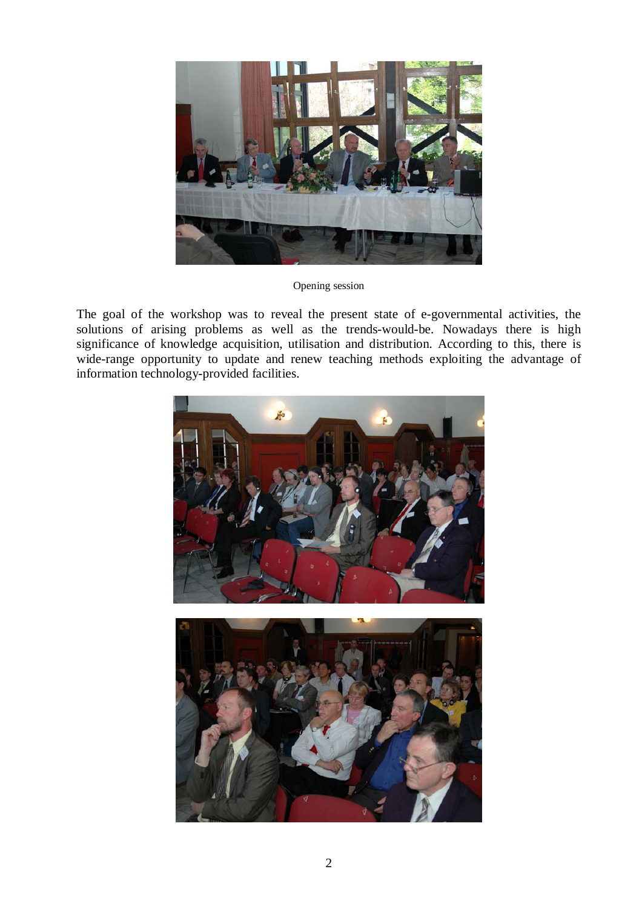

Opening session

The goal of the workshop was to reveal the present state of e-governmental activities, the solutions of arising problems as well as the trends-would-be. Nowadays there is high significance of knowledge acquisition, utilisation and distribution. According to this, there is wide-range opportunity to update and renew teaching methods exploiting the advantage of information technology-provided facilities.

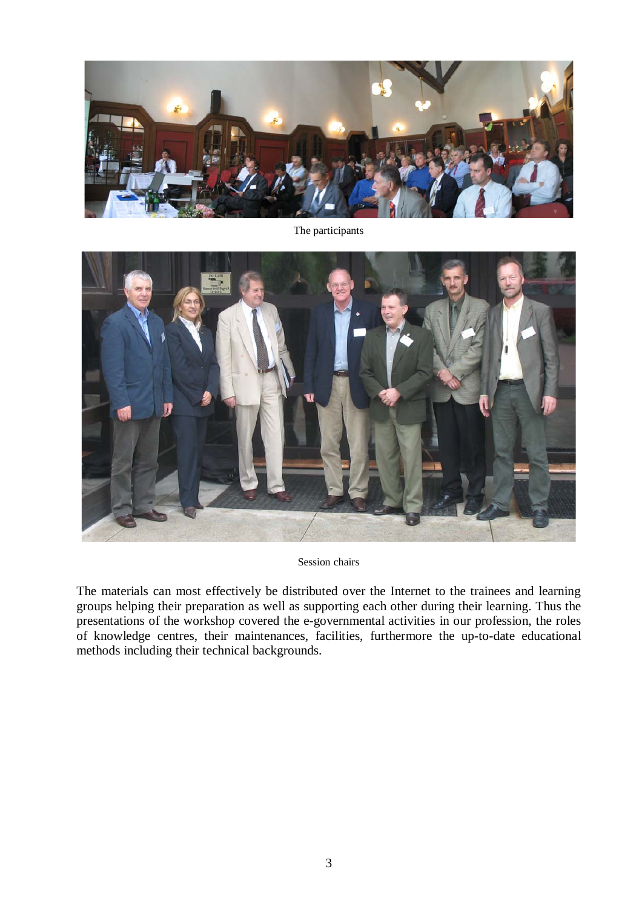

The participants



Session chairs

The materials can most effectively be distributed over the Internet to the trainees and learning groups helping their preparation as well as supporting each other during their learning. Thus the presentations of the workshop covered the e-governmental activities in our profession, the roles of knowledge centres, their maintenances, facilities, furthermore the up-to-date educational methods including their technical backgrounds.